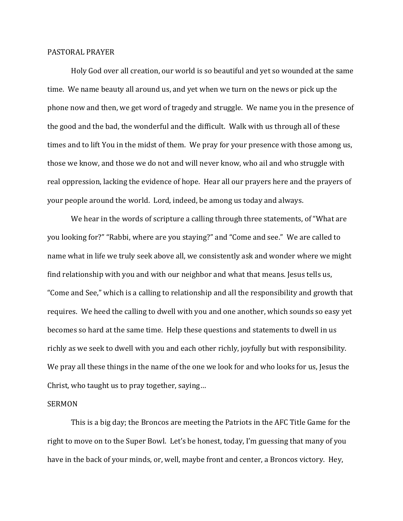## PASTORAL PRAYER

 Holy God over all creation, our world is so beautiful and yet so wounded at the same time. We name beauty all around us, and yet when we turn on the news or pick up the phone now and then, we get word of tragedy and struggle. We name you in the presence of the good and the bad, the wonderful and the difficult. Walk with us through all of these times and to lift You in the midst of them. We pray for your presence with those among us, those we know, and those we do not and will never know, who ail and who struggle with real oppression, lacking the evidence of hope. Hear all our prayers here and the prayers of your people around the world. Lord, indeed, be among us today and always.

 We hear in the words of scripture a calling through three statements, of "What are you looking for?" "Rabbi, where are you staying?" and "Come and see." We are called to name what in life we truly seek above all, we consistently ask and wonder where we might find relationship with you and with our neighbor and what that means. Jesus tells us, "Come and See," which is a calling to relationship and all the responsibility and growth that requires. We heed the calling to dwell with you and one another, which sounds so easy yet becomes so hard at the same time. Help these questions and statements to dwell in us richly as we seek to dwell with you and each other richly, joyfully but with responsibility. We pray all these things in the name of the one we look for and who looks for us, Jesus the Christ, who taught us to pray together, saying…

## SERMON

 This is a big day; the Broncos are meeting the Patriots in the AFC Title Game for the right to move on to the Super Bowl. Let's be honest, today, I'm guessing that many of you have in the back of your minds, or, well, maybe front and center, a Broncos victory. Hey,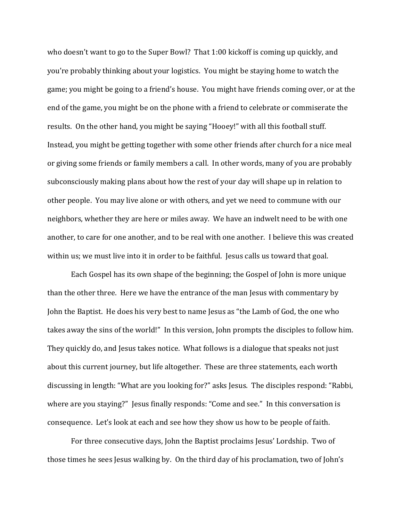who doesn't want to go to the Super Bowl? That 1:00 kickoff is coming up quickly, and you're probably thinking about your logistics. You might be staying home to watch the game; you might be going to a friend's house. You might have friends coming over, or at the end of the game, you might be on the phone with a friend to celebrate or commiserate the results. On the other hand, you might be saying "Hooey!" with all this football stuff. Instead, you might be getting together with some other friends after church for a nice meal or giving some friends or family members a call. In other words, many of you are probably subconsciously making plans about how the rest of your day will shape up in relation to other people. You may live alone or with others, and yet we need to commune with our neighbors, whether they are here or miles away. We have an indwelt need to be with one another, to care for one another, and to be real with one another. I believe this was created within us; we must live into it in order to be faithful. Jesus calls us toward that goal.

 Each Gospel has its own shape of the beginning; the Gospel of John is more unique than the other three. Here we have the entrance of the man Jesus with commentary by John the Baptist. He does his very best to name Jesus as "the Lamb of God, the one who takes away the sins of the world!" In this version, John prompts the disciples to follow him. They quickly do, and Jesus takes notice. What follows is a dialogue that speaks not just about this current journey, but life altogether. These are three statements, each worth discussing in length: "What are you looking for?" asks Jesus. The disciples respond: "Rabbi, where are you staying?" Jesus finally responds: "Come and see." In this conversation is consequence. Let's look at each and see how they show us how to be people of faith.

For three consecutive days, John the Baptist proclaims Jesus' Lordship. Two of those times he sees Jesus walking by. On the third day of his proclamation, two of John's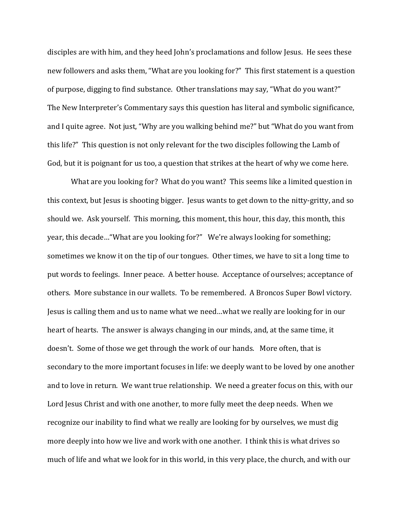disciples are with him, and they heed John's proclamations and follow Jesus. He sees these new followers and asks them, "What are you looking for?" This first statement is a question of purpose, digging to find substance. Other translations may say, "What do you want?" The New Interpreter's Commentary says this question has literal and symbolic significance, and I quite agree. Not just, "Why are you walking behind me?" but "What do you want from this life?" This question is not only relevant for the two disciples following the Lamb of God, but it is poignant for us too, a question that strikes at the heart of why we come here.

What are you looking for? What do you want? This seems like a limited question in this context, but Jesus is shooting bigger. Jesus wants to get down to the nitty-gritty, and so should we. Ask yourself. This morning, this moment, this hour, this day, this month, this year, this decade…"What are you looking for?" We're always looking for something; sometimes we know it on the tip of our tongues. Other times, we have to sit a long time to put words to feelings. Inner peace. A better house. Acceptance of ourselves; acceptance of others. More substance in our wallets. To be remembered. A Broncos Super Bowl victory. Jesus is calling them and us to name what we need…what we really are looking for in our heart of hearts. The answer is always changing in our minds, and, at the same time, it doesn't. Some of those we get through the work of our hands. More often, that is secondary to the more important focuses in life: we deeply want to be loved by one another and to love in return. We want true relationship. We need a greater focus on this, with our Lord Jesus Christ and with one another, to more fully meet the deep needs. When we recognize our inability to find what we really are looking for by ourselves, we must dig more deeply into how we live and work with one another. I think this is what drives so much of life and what we look for in this world, in this very place, the church, and with our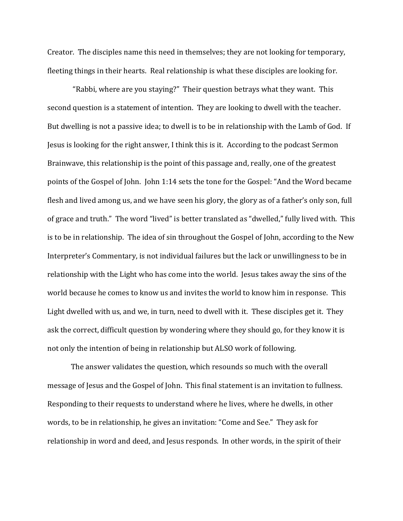Creator. The disciples name this need in themselves; they are not looking for temporary, fleeting things in their hearts. Real relationship is what these disciples are looking for.

 "Rabbi, where are you staying?" Their question betrays what they want. This second question is a statement of intention. They are looking to dwell with the teacher. But dwelling is not a passive idea; to dwell is to be in relationship with the Lamb of God. If Jesus is looking for the right answer, I think this is it. According to the podcast Sermon Brainwave, this relationship is the point of this passage and, really, one of the greatest points of the Gospel of John. John 1:14 sets the tone for the Gospel: "And the Word became flesh and lived among us, and we have seen his glory, the glory as of a father's only son, full of grace and truth." The word "lived" is better translated as "dwelled," fully lived with. This is to be in relationship. The idea of sin throughout the Gospel of John, according to the New Interpreter's Commentary, is not individual failures but the lack or unwillingness to be in relationship with the Light who has come into the world. Jesus takes away the sins of the world because he comes to know us and invites the world to know him in response. This Light dwelled with us, and we, in turn, need to dwell with it. These disciples get it. They ask the correct, difficult question by wondering where they should go, for they know it is not only the intention of being in relationship but ALSO work of following.

 The answer validates the question, which resounds so much with the overall message of Jesus and the Gospel of John. This final statement is an invitation to fullness. Responding to their requests to understand where he lives, where he dwells, in other words, to be in relationship, he gives an invitation: "Come and See." They ask for relationship in word and deed, and Jesus responds. In other words, in the spirit of their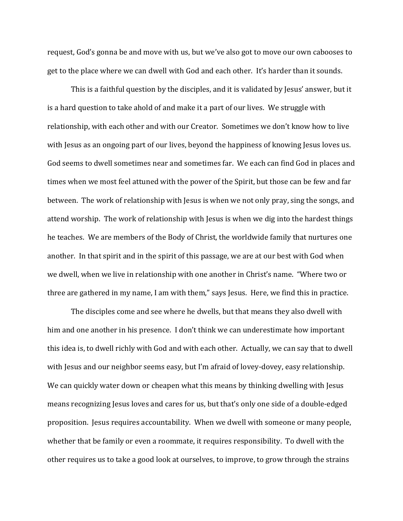request, God's gonna be and move with us, but we've also got to move our own cabooses to get to the place where we can dwell with God and each other. It's harder than it sounds.

This is a faithful question by the disciples, and it is validated by Jesus' answer, but it is a hard question to take ahold of and make it a part of our lives. We struggle with relationship, with each other and with our Creator. Sometimes we don't know how to live with Jesus as an ongoing part of our lives, beyond the happiness of knowing Jesus loves us. God seems to dwell sometimes near and sometimes far. We each can find God in places and times when we most feel attuned with the power of the Spirit, but those can be few and far between. The work of relationship with Jesus is when we not only pray, sing the songs, and attend worship. The work of relationship with Jesus is when we dig into the hardest things he teaches. We are members of the Body of Christ, the worldwide family that nurtures one another. In that spirit and in the spirit of this passage, we are at our best with God when we dwell, when we live in relationship with one another in Christ's name. "Where two or three are gathered in my name, I am with them," says Jesus. Here, we find this in practice.

The disciples come and see where he dwells, but that means they also dwell with him and one another in his presence. I don't think we can underestimate how important this idea is, to dwell richly with God and with each other. Actually, we can say that to dwell with Jesus and our neighbor seems easy, but I'm afraid of lovey-dovey, easy relationship. We can quickly water down or cheapen what this means by thinking dwelling with Jesus means recognizing Jesus loves and cares for us, but that's only one side of a double-edged proposition. Jesus requires accountability. When we dwell with someone or many people, whether that be family or even a roommate, it requires responsibility. To dwell with the other requires us to take a good look at ourselves, to improve, to grow through the strains